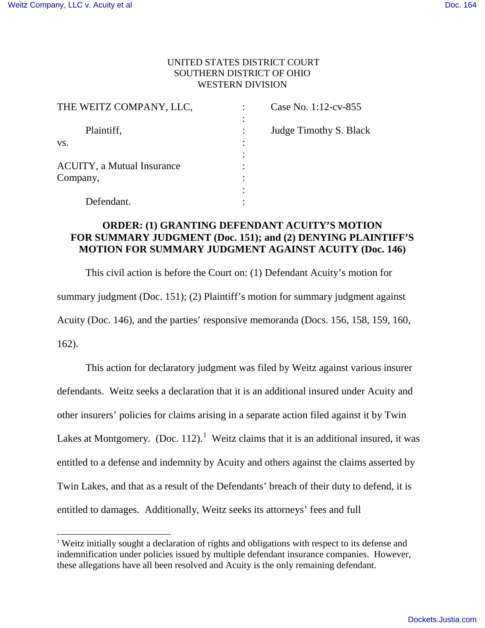1

## UNITED STATES DISTRICT COURT SOUTHERN DISTRICT OF OHIO WESTERN DIVISION

| THE WEITZ COMPANY, LLC,            |                          | Case No. 1:12-cv-855   |
|------------------------------------|--------------------------|------------------------|
| Plaintiff,                         | ٠<br>٠<br>$\ddot{\cdot}$ | Judge Timothy S. Black |
| VS.                                | ٠<br>٠                   |                        |
|                                    | ٠                        |                        |
| <b>ACUITY</b> , a Mutual Insurance | ٠                        |                        |
| Company,                           | ٠                        |                        |
|                                    | ٠                        |                        |
| Defendant.                         |                          |                        |

# **ORDER: (1) GRANTING DEFENDANT ACUITY'S MOTION FOR SUMMARY JUDGMENT (Doc. 151); and (2) DENYING PLAINTIFF'S MOTION FOR SUMMARY JUDGMENT AGAINST ACUITY (Doc. 146)**

This civil action is before the Court on: (1) Defendant Acuity's motion for summary judgment (Doc. 151); (2) Plaintiff's motion for summary judgment against Acuity (Doc. 146), and the parties' responsive memoranda (Docs. 156, 158, 159, 160, 162).

This action for declaratory judgment was filed by Weitz against various insurer defendants. Weitz seeks a declaration that it is an additional insured under Acuity and other insurers' policies for claims arising in a separate action filed against it by Twin Lakes at Montgomery. (Doc. 112).<sup>1</sup> Weitz claims that it is an additional insured, it was entitled to a defense and indemnity by Acuity and others against the claims asserted by Twin Lakes, and that as a result of the Defendants' breach of their duty to defend, it is entitled to damages. Additionally, Weitz seeks its attorneys' fees and full

<sup>&</sup>lt;sup>1</sup> Weitz initially sought a declaration of rights and obligations with respect to its defense and indemnification under policies issued by multiple defendant insurance companies. However, these allegations have all been resolved and Acuity is the only remaining defendant.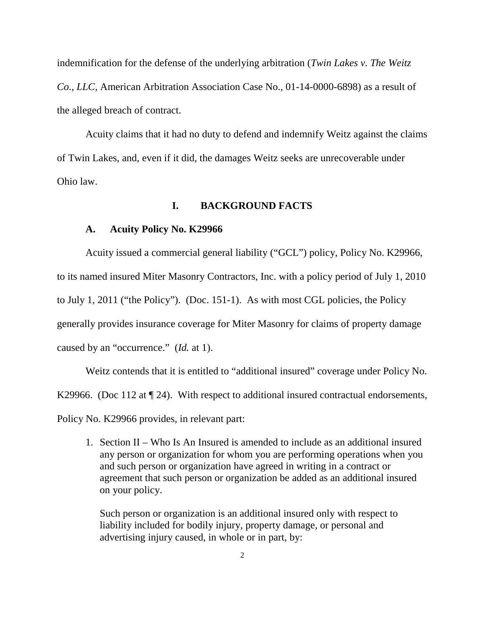indemnification for the defense of the underlying arbitration (*Twin Lakes v. The Weitz Co., LLC*, American Arbitration Association Case No., 01-14-0000-6898) as a result of the alleged breach of contract.

 Acuity claims that it had no duty to defend and indemnify Weitz against the claims of Twin Lakes, and, even if it did, the damages Weitz seeks are unrecoverable under Ohio law.

## **I. BACKGROUND FACTS**

## **A. Acuity Policy No. K29966**

Acuity issued a commercial general liability ("GCL") policy, Policy No. K29966, to its named insured Miter Masonry Contractors, Inc. with a policy period of July 1, 2010 to July 1, 2011 ("the Policy"). (Doc. 151-1). As with most CGL policies, the Policy generally provides insurance coverage for Miter Masonry for claims of property damage caused by an "occurrence." (*Id.* at 1).

Weitz contends that it is entitled to "additional insured" coverage under Policy No. K29966. (Doc 112 at  $\P$  24). With respect to additional insured contractual endorsements, Policy No. K29966 provides, in relevant part:

1. Section II – Who Is An Insured is amended to include as an additional insured any person or organization for whom you are performing operations when you and such person or organization have agreed in writing in a contract or agreement that such person or organization be added as an additional insured on your policy.

Such person or organization is an additional insured only with respect to liability included for bodily injury, property damage, or personal and advertising injury caused, in whole or in part, by: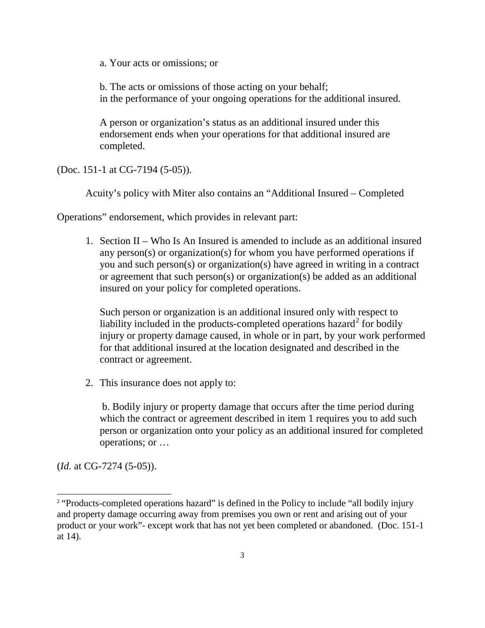a. Your acts or omissions; or

b. The acts or omissions of those acting on your behalf; in the performance of your ongoing operations for the additional insured.

A person or organization's status as an additional insured under this endorsement ends when your operations for that additional insured are completed.

(Doc. 151-1 at CG-7194 (5-05)).

Acuity's policy with Miter also contains an "Additional Insured – Completed

Operations" endorsement, which provides in relevant part:

1. Section II – Who Is An Insured is amended to include as an additional insured any person(s) or organization(s) for whom you have performed operations if you and such person(s) or organization(s) have agreed in writing in a contract or agreement that such person(s) or organization(s) be added as an additional insured on your policy for completed operations.

Such person or organization is an additional insured only with respect to liability included in the products-completed operations hazard<sup>2</sup> for bodily injury or property damage caused, in whole or in part, by your work performed for that additional insured at the location designated and described in the contract or agreement.

2. This insurance does not apply to:

b. Bodily injury or property damage that occurs after the time period during which the contract or agreement described in item 1 requires you to add such person or organization onto your policy as an additional insured for completed operations; or …

(*Id.* at CG-7274 (5-05)).

-

<sup>&</sup>lt;sup>2</sup> "Products-completed operations hazard" is defined in the Policy to include "all bodily injury and property damage occurring away from premises you own or rent and arising out of your product or your work"- except work that has not yet been completed or abandoned. (Doc. 151-1 at 14).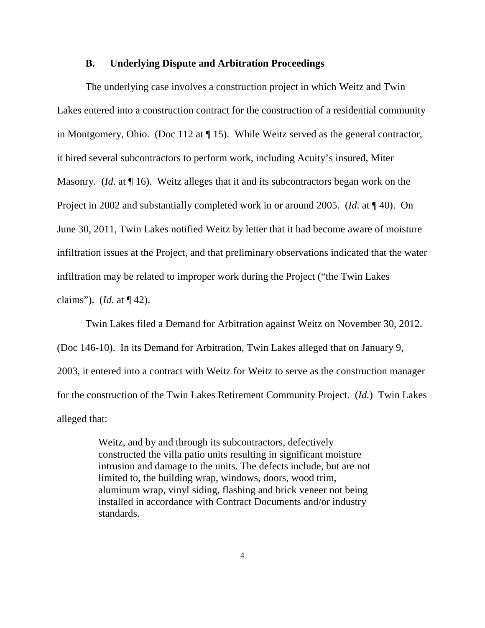#### **B. Underlying Dispute and Arbitration Proceedings**

The underlying case involves a construction project in which Weitz and Twin Lakes entered into a construction contract for the construction of a residential community in Montgomery, Ohio. (Doc 112 at ¶ 15). While Weitz served as the general contractor, it hired several subcontractors to perform work, including Acuity's insured, Miter Masonry. (*Id*. at ¶ 16). Weitz alleges that it and its subcontractors began work on the Project in 2002 and substantially completed work in or around 2005. (*Id*. at ¶ 40). On June 30, 2011, Twin Lakes notified Weitz by letter that it had become aware of moisture infiltration issues at the Project, and that preliminary observations indicated that the water infiltration may be related to improper work during the Project ("the Twin Lakes claims"). (*Id*. at ¶ 42).

Twin Lakes filed a Demand for Arbitration against Weitz on November 30, 2012. (Doc 146-10). In its Demand for Arbitration, Twin Lakes alleged that on January 9, 2003, it entered into a contract with Weitz for Weitz to serve as the construction manager for the construction of the Twin Lakes Retirement Community Project. (*Id.*) Twin Lakes alleged that:

> Weitz, and by and through its subcontractors, defectively constructed the villa patio units resulting in significant moisture intrusion and damage to the units. The defects include, but are not limited to, the building wrap, windows, doors, wood trim, aluminum wrap, vinyl siding, flashing and brick veneer not being installed in accordance with Contract Documents and/or industry standards.

> > 4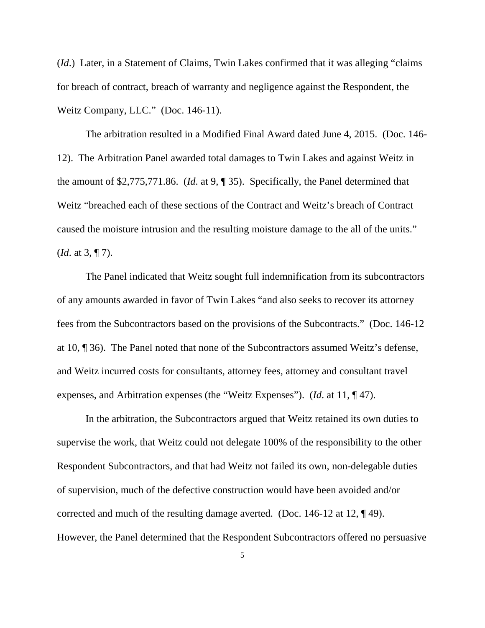(*Id*.) Later, in a Statement of Claims, Twin Lakes confirmed that it was alleging "claims for breach of contract, breach of warranty and negligence against the Respondent, the Weitz Company, LLC." (Doc. 146-11).

The arbitration resulted in a Modified Final Award dated June 4, 2015. (Doc. 146- 12). The Arbitration Panel awarded total damages to Twin Lakes and against Weitz in the amount of \$2,775,771.86. (*Id*. at 9, ¶ 35). Specifically, the Panel determined that Weitz "breached each of these sections of the Contract and Weitz's breach of Contract caused the moisture intrusion and the resulting moisture damage to the all of the units." (*Id*. at 3, ¶ 7).

The Panel indicated that Weitz sought full indemnification from its subcontractors of any amounts awarded in favor of Twin Lakes "and also seeks to recover its attorney fees from the Subcontractors based on the provisions of the Subcontracts." (Doc. 146-12 at 10, ¶ 36). The Panel noted that none of the Subcontractors assumed Weitz's defense, and Weitz incurred costs for consultants, attorney fees, attorney and consultant travel expenses, and Arbitration expenses (the "Weitz Expenses"). (*Id*. at 11, ¶ 47).

In the arbitration, the Subcontractors argued that Weitz retained its own duties to supervise the work, that Weitz could not delegate 100% of the responsibility to the other Respondent Subcontractors, and that had Weitz not failed its own, non-delegable duties of supervision, much of the defective construction would have been avoided and/or corrected and much of the resulting damage averted. (Doc. 146-12 at 12, ¶ 49). However, the Panel determined that the Respondent Subcontractors offered no persuasive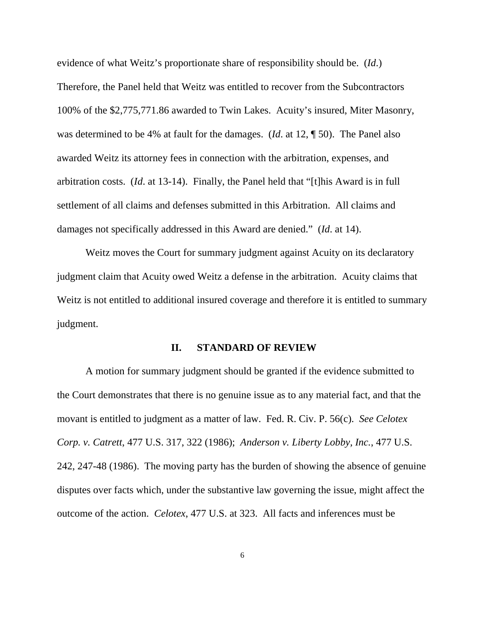evidence of what Weitz's proportionate share of responsibility should be. (*Id*.) Therefore, the Panel held that Weitz was entitled to recover from the Subcontractors 100% of the \$2,775,771.86 awarded to Twin Lakes. Acuity's insured, Miter Masonry, was determined to be 4% at fault for the damages. (*Id*. at 12, ¶ 50). The Panel also awarded Weitz its attorney fees in connection with the arbitration, expenses, and arbitration costs. (*Id*. at 13-14). Finally, the Panel held that "[t]his Award is in full settlement of all claims and defenses submitted in this Arbitration. All claims and damages not specifically addressed in this Award are denied." (*Id*. at 14).

Weitz moves the Court for summary judgment against Acuity on its declaratory judgment claim that Acuity owed Weitz a defense in the arbitration. Acuity claims that Weitz is not entitled to additional insured coverage and therefore it is entitled to summary judgment.

#### **II. STANDARD OF REVIEW**

A motion for summary judgment should be granted if the evidence submitted to the Court demonstrates that there is no genuine issue as to any material fact, and that the movant is entitled to judgment as a matter of law. Fed. R. Civ. P. 56(c). *See Celotex Corp. v. Catrett*, 477 U.S. 317, 322 (1986); *Anderson v. Liberty Lobby, Inc.*, 477 U.S. 242, 247-48 (1986). The moving party has the burden of showing the absence of genuine disputes over facts which, under the substantive law governing the issue, might affect the outcome of the action. *Celotex*, 477 U.S. at 323. All facts and inferences must be

6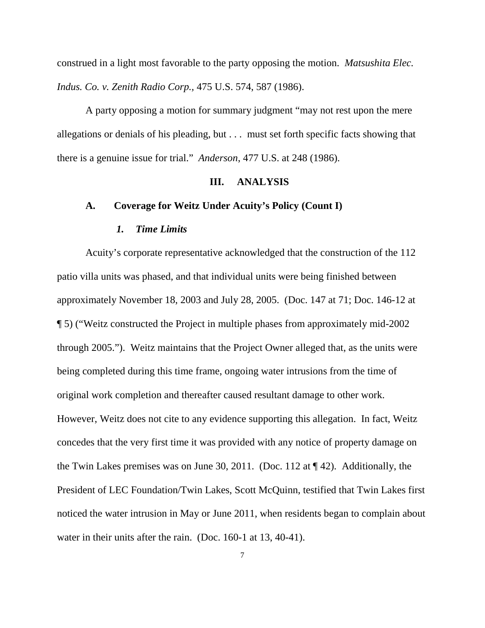construed in a light most favorable to the party opposing the motion. *Matsushita Elec. Indus. Co. v. Zenith Radio Corp.,* 475 U.S. 574, 587 (1986).

A party opposing a motion for summary judgment "may not rest upon the mere allegations or denials of his pleading, but . . . must set forth specific facts showing that there is a genuine issue for trial." *Anderson*, 477 U.S. at 248 (1986).

## **III. ANALYSIS**

### **A. Coverage for Weitz Under Acuity's Policy (Count I)**

#### *1. Time Limits*

Acuity's corporate representative acknowledged that the construction of the 112 patio villa units was phased, and that individual units were being finished between approximately November 18, 2003 and July 28, 2005. (Doc. 147 at 71; Doc. 146-12 at ¶ 5) ("Weitz constructed the Project in multiple phases from approximately mid-2002 through 2005."). Weitz maintains that the Project Owner alleged that, as the units were being completed during this time frame, ongoing water intrusions from the time of original work completion and thereafter caused resultant damage to other work. However, Weitz does not cite to any evidence supporting this allegation. In fact, Weitz concedes that the very first time it was provided with any notice of property damage on the Twin Lakes premises was on June 30, 2011. (Doc. 112 at ¶ 42). Additionally, the President of LEC Foundation/Twin Lakes, Scott McQuinn, testified that Twin Lakes first noticed the water intrusion in May or June 2011, when residents began to complain about water in their units after the rain. (Doc. 160-1 at 13, 40-41).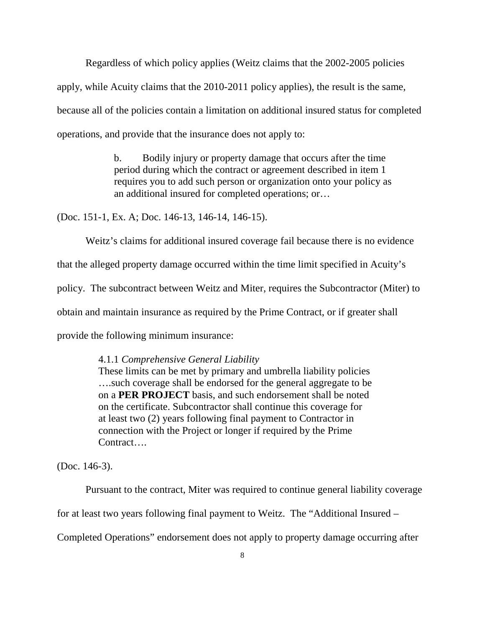Regardless of which policy applies (Weitz claims that the 2002-2005 policies apply, while Acuity claims that the 2010-2011 policy applies), the result is the same, because all of the policies contain a limitation on additional insured status for completed operations, and provide that the insurance does not apply to:

> b. Bodily injury or property damage that occurs after the time period during which the contract or agreement described in item 1 requires you to add such person or organization onto your policy as an additional insured for completed operations; or…

(Doc. 151-1, Ex. A; Doc. 146-13, 146-14, 146-15).

Weitz's claims for additional insured coverage fail because there is no evidence that the alleged property damage occurred within the time limit specified in Acuity's policy. The subcontract between Weitz and Miter, requires the Subcontractor (Miter) to obtain and maintain insurance as required by the Prime Contract, or if greater shall provide the following minimum insurance:

## 4.1.1 *Comprehensive General Liability*

 These limits can be met by primary and umbrella liability policies ….such coverage shall be endorsed for the general aggregate to be on a **PER PROJECT** basis, and such endorsement shall be noted on the certificate. Subcontractor shall continue this coverage for at least two (2) years following final payment to Contractor in connection with the Project or longer if required by the Prime Contract….

(Doc. 146-3).

Pursuant to the contract, Miter was required to continue general liability coverage

for at least two years following final payment to Weitz. The "Additional Insured –

Completed Operations" endorsement does not apply to property damage occurring after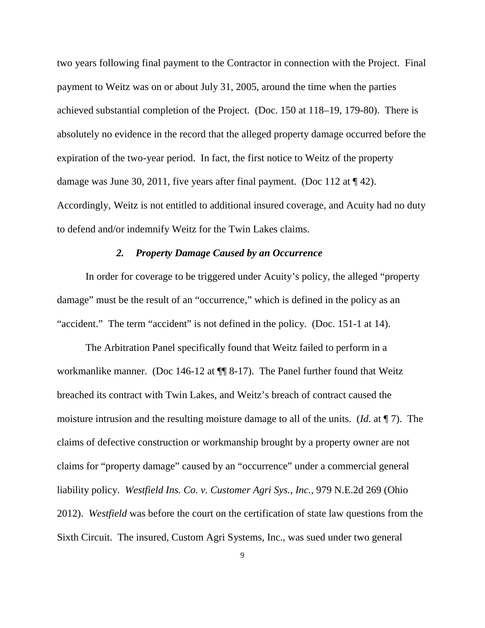two years following final payment to the Contractor in connection with the Project. Final payment to Weitz was on or about July 31, 2005, around the time when the parties achieved substantial completion of the Project. (Doc. 150 at 118–19, 179-80). There is absolutely no evidence in the record that the alleged property damage occurred before the expiration of the two-year period. In fact, the first notice to Weitz of the property damage was June 30, 2011, five years after final payment. (Doc 112 at ¶ 42). Accordingly, Weitz is not entitled to additional insured coverage, and Acuity had no duty to defend and/or indemnify Weitz for the Twin Lakes claims.

### *2. Property Damage Caused by an Occurrence*

In order for coverage to be triggered under Acuity's policy, the alleged "property damage" must be the result of an "occurrence," which is defined in the policy as an "accident." The term "accident" is not defined in the policy. (Doc. 151-1 at 14).

The Arbitration Panel specifically found that Weitz failed to perform in a workmanlike manner. (Doc 146-12 at  $\P$  8-17). The Panel further found that Weitz breached its contract with Twin Lakes, and Weitz's breach of contract caused the moisture intrusion and the resulting moisture damage to all of the units. (*Id*. at ¶ 7). The claims of defective construction or workmanship brought by a property owner are not claims for "property damage" caused by an "occurrence" under a commercial general liability policy. *Westfield Ins. Co. v. Customer Agri Sys., Inc.,* 979 N.E.2d 269 (Ohio 2012). *Westfield* was before the court on the certification of state law questions from the Sixth Circuit. The insured, Custom Agri Systems, Inc., was sued under two general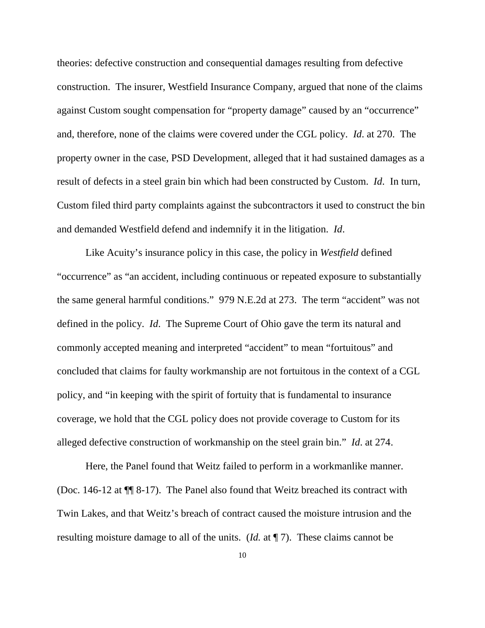theories: defective construction and consequential damages resulting from defective construction. The insurer, Westfield Insurance Company, argued that none of the claims against Custom sought compensation for "property damage" caused by an "occurrence" and, therefore, none of the claims were covered under the CGL policy. *Id*. at 270. The property owner in the case, PSD Development, alleged that it had sustained damages as a result of defects in a steel grain bin which had been constructed by Custom. *Id*. In turn, Custom filed third party complaints against the subcontractors it used to construct the bin and demanded Westfield defend and indemnify it in the litigation. *Id*.

Like Acuity's insurance policy in this case, the policy in *Westfield* defined "occurrence" as "an accident, including continuous or repeated exposure to substantially the same general harmful conditions." 979 N.E.2d at 273. The term "accident" was not defined in the policy. *Id*. The Supreme Court of Ohio gave the term its natural and commonly accepted meaning and interpreted "accident" to mean "fortuitous" and concluded that claims for faulty workmanship are not fortuitous in the context of a CGL policy, and "in keeping with the spirit of fortuity that is fundamental to insurance coverage, we hold that the CGL policy does not provide coverage to Custom for its alleged defective construction of workmanship on the steel grain bin." *Id*. at 274.

 Here, the Panel found that Weitz failed to perform in a workmanlike manner. (Doc. 146-12 at ¶¶ 8-17). The Panel also found that Weitz breached its contract with Twin Lakes, and that Weitz's breach of contract caused the moisture intrusion and the resulting moisture damage to all of the units. (*Id.* at ¶ 7). These claims cannot be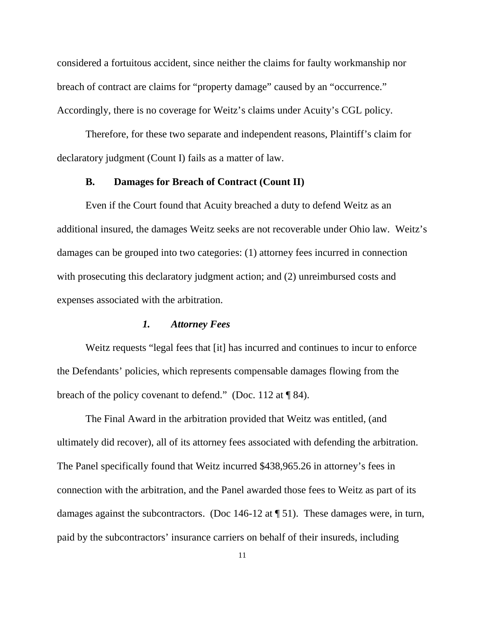considered a fortuitous accident, since neither the claims for faulty workmanship nor breach of contract are claims for "property damage" caused by an "occurrence." Accordingly, there is no coverage for Weitz's claims under Acuity's CGL policy.

 Therefore, for these two separate and independent reasons, Plaintiff's claim for declaratory judgment (Count I) fails as a matter of law.

## **B. Damages for Breach of Contract (Count II)**

Even if the Court found that Acuity breached a duty to defend Weitz as an additional insured, the damages Weitz seeks are not recoverable under Ohio law. Weitz's damages can be grouped into two categories: (1) attorney fees incurred in connection with prosecuting this declaratory judgment action; and (2) unreimbursed costs and expenses associated with the arbitration.

## *1. Attorney Fees*

Weitz requests "legal fees that [it] has incurred and continues to incur to enforce the Defendants' policies, which represents compensable damages flowing from the breach of the policy covenant to defend." (Doc. 112 at ¶ 84).

 The Final Award in the arbitration provided that Weitz was entitled, (and ultimately did recover), all of its attorney fees associated with defending the arbitration. The Panel specifically found that Weitz incurred \$438,965.26 in attorney's fees in connection with the arbitration, and the Panel awarded those fees to Weitz as part of its damages against the subcontractors. (Doc 146-12 at ¶ 51). These damages were, in turn, paid by the subcontractors' insurance carriers on behalf of their insureds, including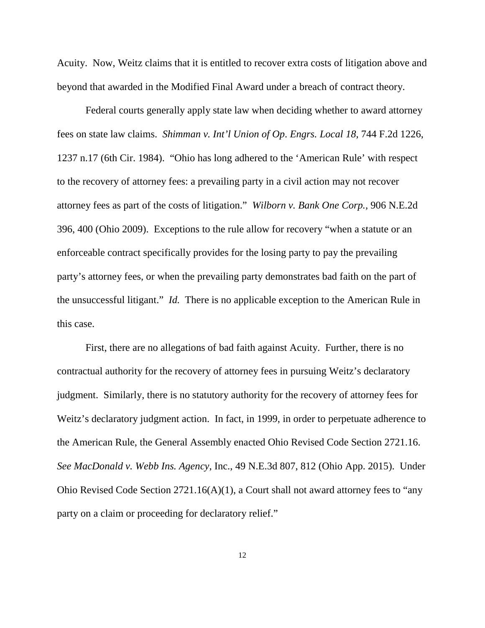Acuity. Now, Weitz claims that it is entitled to recover extra costs of litigation above and beyond that awarded in the Modified Final Award under a breach of contract theory.

Federal courts generally apply state law when deciding whether to award attorney fees on state law claims. *Shimman v. Int'l Union of Op*. *Engrs. Local 18*, 744 F.2d 1226, 1237 n.17 (6th Cir. 1984). "Ohio has long adhered to the 'American Rule' with respect to the recovery of attorney fees: a prevailing party in a civil action may not recover attorney fees as part of the costs of litigation." *Wilborn v. Bank One Corp.,* 906 N.E.2d 396, 400 (Ohio 2009). Exceptions to the rule allow for recovery "when a statute or an enforceable contract specifically provides for the losing party to pay the prevailing party's attorney fees, or when the prevailing party demonstrates bad faith on the part of the unsuccessful litigant." *Id.* There is no applicable exception to the American Rule in this case.

 First, there are no allegations of bad faith against Acuity. Further, there is no contractual authority for the recovery of attorney fees in pursuing Weitz's declaratory judgment. Similarly, there is no statutory authority for the recovery of attorney fees for Weitz's declaratory judgment action. In fact, in 1999, in order to perpetuate adherence to the American Rule, the General Assembly enacted Ohio Revised Code Section 2721.16. *See MacDonald v. Webb Ins. Agency*, Inc., 49 N.E.3d 807, 812 (Ohio App. 2015). Under Ohio Revised Code Section 2721.16(A)(1), a Court shall not award attorney fees to "any party on a claim or proceeding for declaratory relief."

12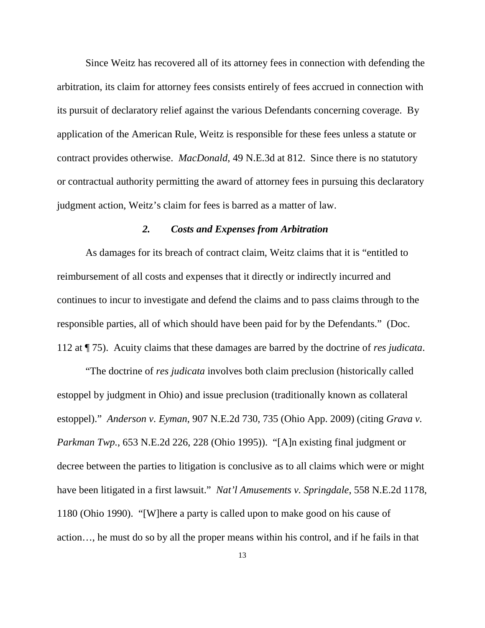Since Weitz has recovered all of its attorney fees in connection with defending the arbitration, its claim for attorney fees consists entirely of fees accrued in connection with its pursuit of declaratory relief against the various Defendants concerning coverage. By application of the American Rule, Weitz is responsible for these fees unless a statute or contract provides otherwise. *MacDonald*, 49 N.E.3d at 812. Since there is no statutory or contractual authority permitting the award of attorney fees in pursuing this declaratory judgment action, Weitz's claim for fees is barred as a matter of law.

### *2. Costs and Expenses from Arbitration*

As damages for its breach of contract claim, Weitz claims that it is "entitled to reimbursement of all costs and expenses that it directly or indirectly incurred and continues to incur to investigate and defend the claims and to pass claims through to the responsible parties, all of which should have been paid for by the Defendants." (Doc. 112 at ¶ 75). Acuity claims that these damages are barred by the doctrine of *res judicata*.

 "The doctrine of *res judicata* involves both claim preclusion (historically called estoppel by judgment in Ohio) and issue preclusion (traditionally known as collateral estoppel)." *Anderson v. Eyman*, 907 N.E.2d 730, 735 (Ohio App. 2009) (citing *Grava v. Parkman Twp.*, 653 N.E.2d 226, 228 (Ohio 1995)). "[A]n existing final judgment or decree between the parties to litigation is conclusive as to all claims which were or might have been litigated in a first lawsuit." *Nat'l Amusements v. Springdale*, 558 N.E.2d 1178, 1180 (Ohio 1990). "[W]here a party is called upon to make good on his cause of action…, he must do so by all the proper means within his control, and if he fails in that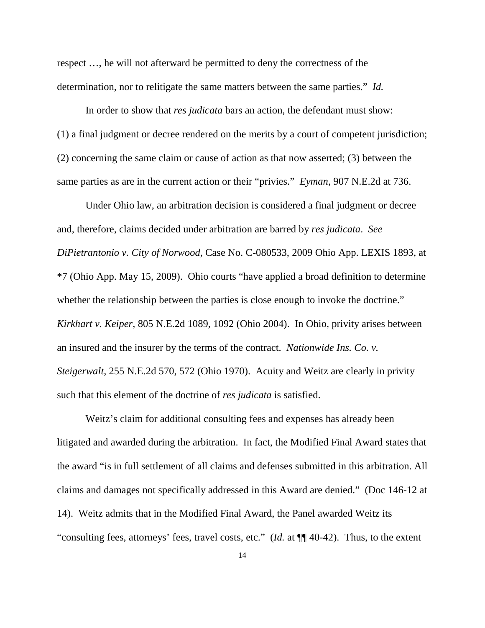respect …, he will not afterward be permitted to deny the correctness of the determination, nor to relitigate the same matters between the same parties." *Id.*

In order to show that *res judicata* bars an action, the defendant must show: (1) a final judgment or decree rendered on the merits by a court of competent jurisdiction; (2) concerning the same claim or cause of action as that now asserted; (3) between the same parties as are in the current action or their "privies." *Eyman*, 907 N.E.2d at 736.

 Under Ohio law, an arbitration decision is considered a final judgment or decree and, therefore, claims decided under arbitration are barred by *res judicata*. *See DiPietrantonio v. City of Norwood*, Case No. C-080533, 2009 Ohio App. LEXIS 1893, at \*7 (Ohio App. May 15, 2009). Ohio courts "have applied a broad definition to determine whether the relationship between the parties is close enough to invoke the doctrine." *Kirkhart v. Keiper*, 805 N.E.2d 1089, 1092 (Ohio 2004). In Ohio, privity arises between an insured and the insurer by the terms of the contract. *Nationwide Ins. Co. v. Steigerwalt*, 255 N.E.2d 570, 572 (Ohio 1970). Acuity and Weitz are clearly in privity such that this element of the doctrine of *res judicata* is satisfied.

Weitz's claim for additional consulting fees and expenses has already been litigated and awarded during the arbitration. In fact, the Modified Final Award states that the award "is in full settlement of all claims and defenses submitted in this arbitration. All claims and damages not specifically addressed in this Award are denied." (Doc 146-12 at 14). Weitz admits that in the Modified Final Award, the Panel awarded Weitz its "consulting fees, attorneys' fees, travel costs, etc." (*Id.* at ¶¶ 40-42). Thus, to the extent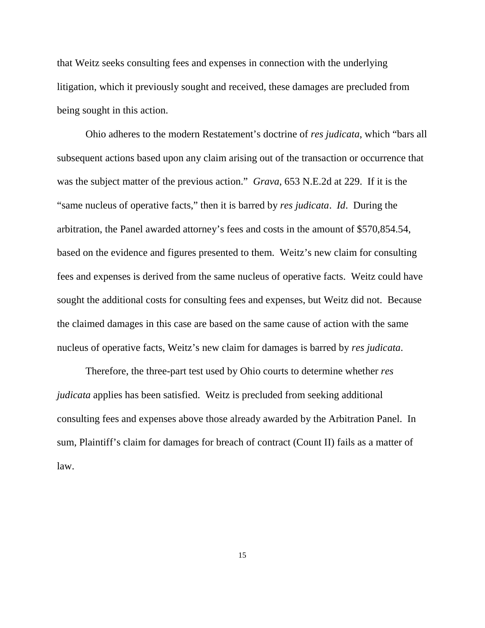that Weitz seeks consulting fees and expenses in connection with the underlying litigation, which it previously sought and received, these damages are precluded from being sought in this action.

 Ohio adheres to the modern Restatement's doctrine of *res judicata*, which "bars all subsequent actions based upon any claim arising out of the transaction or occurrence that was the subject matter of the previous action." *Grava*, 653 N.E.2d at 229. If it is the "same nucleus of operative facts," then it is barred by *res judicata*. *Id*. During the arbitration, the Panel awarded attorney's fees and costs in the amount of \$570,854.54, based on the evidence and figures presented to them. Weitz's new claim for consulting fees and expenses is derived from the same nucleus of operative facts. Weitz could have sought the additional costs for consulting fees and expenses, but Weitz did not. Because the claimed damages in this case are based on the same cause of action with the same nucleus of operative facts, Weitz's new claim for damages is barred by *res judicata*.

 Therefore, the three-part test used by Ohio courts to determine whether *res judicata* applies has been satisfied. Weitz is precluded from seeking additional consulting fees and expenses above those already awarded by the Arbitration Panel. In sum, Plaintiff's claim for damages for breach of contract (Count II) fails as a matter of law.